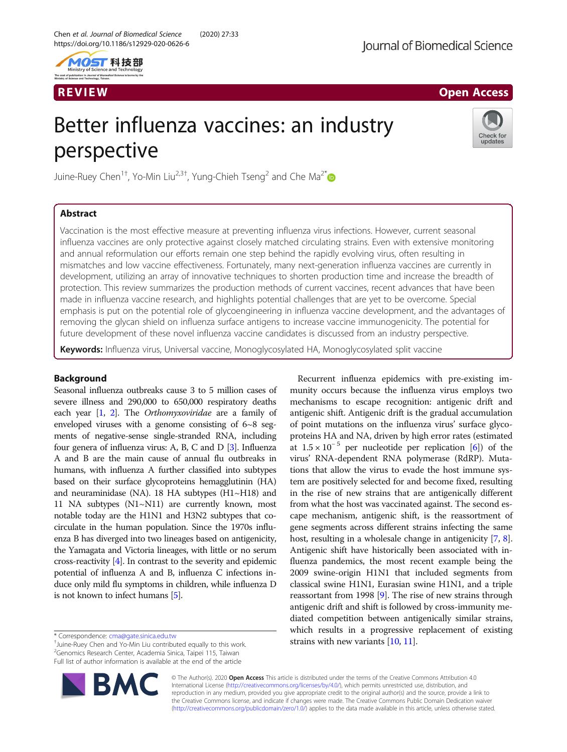



# Better influenza vaccines: an industry perspective



Juine-Ruey Chen $^{1\dagger}$ , Yo-Min Liu $^{2,3\dagger}$ , Yung-Chieh Tseng $^2$  and Che Ma $^{2^\ast}$ 

# Abstract

Vaccination is the most effective measure at preventing influenza virus infections. However, current seasonal influenza vaccines are only protective against closely matched circulating strains. Even with extensive monitoring and annual reformulation our efforts remain one step behind the rapidly evolving virus, often resulting in mismatches and low vaccine effectiveness. Fortunately, many next-generation influenza vaccines are currently in development, utilizing an array of innovative techniques to shorten production time and increase the breadth of protection. This review summarizes the production methods of current vaccines, recent advances that have been made in influenza vaccine research, and highlights potential challenges that are yet to be overcome. Special emphasis is put on the potential role of glycoengineering in influenza vaccine development, and the advantages of removing the glycan shield on influenza surface antigens to increase vaccine immunogenicity. The potential for future development of these novel influenza vaccine candidates is discussed from an industry perspective.

Keywords: Influenza virus, Universal vaccine, Monoglycosylated HA, Monoglycosylated split vaccine

# Background

Seasonal influenza outbreaks cause 3 to 5 million cases of severe illness and 290,000 to 650,000 respiratory deaths each year  $[1, 2]$  $[1, 2]$  $[1, 2]$  $[1, 2]$ . The *Orthomyxoviridae* are a family of enveloped viruses with a genome consisting of 6~8 segments of negative-sense single-stranded RNA, including four genera of influenza virus: A, B, C and D [\[3](#page-8-0)]. Influenza A and B are the main cause of annual flu outbreaks in humans, with influenza A further classified into subtypes based on their surface glycoproteins hemagglutinin (HA) and neuraminidase (NA). 18 HA subtypes (H1~H18) and 11 NA subtypes (N1~N11) are currently known, most notable today are the H1N1 and H3N2 subtypes that cocirculate in the human population. Since the 1970s influenza B has diverged into two lineages based on antigenicity, the Yamagata and Victoria lineages, with little or no serum cross-reactivity [\[4\]](#page-8-0). In contrast to the severity and epidemic potential of influenza A and B, influenza C infections induce only mild flu symptoms in children, while influenza D is not known to infect humans [\[5\]](#page-8-0).

<sup>&</sup>lt;sup>+</sup>Juine-Ruey Chen and Yo-Min Liu contributed equally to this work. <sup>2</sup> Genomics Research Center, Academia Sinica, Taipei 115, Taiwan Full list of author information is available at the end of the article



munity occurs because the influenza virus employs two mechanisms to escape recognition: antigenic drift and antigenic shift. Antigenic drift is the gradual accumulation of point mutations on the influenza virus' surface glycoproteins HA and NA, driven by high error rates (estimated at  $1.5 \times 10^{-5}$  per nucleotide per replication [[6\]](#page-8-0)) of the virus' RNA-dependent RNA polymerase (RdRP). Mutations that allow the virus to evade the host immune system are positively selected for and become fixed, resulting in the rise of new strains that are antigenically different from what the host was vaccinated against. The second escape mechanism, antigenic shift, is the reassortment of gene segments across different strains infecting the same host, resulting in a wholesale change in antigenicity [[7](#page-8-0), [8](#page-8-0)]. Antigenic shift have historically been associated with influenza pandemics, the most recent example being the 2009 swine-origin H1N1 that included segments from classical swine H1N1, Eurasian swine H1N1, and a triple reassortant from 1998 [\[9\]](#page-8-0). The rise of new strains through antigenic drift and shift is followed by cross-immunity mediated competition between antigenically similar strains, which results in a progressive replacement of existing strains with new variants [[10](#page-8-0), [11\]](#page-8-0).

Recurrent influenza epidemics with pre-existing im-

© The Author(s). 2020 Open Access This article is distributed under the terms of the Creative Commons Attribution 4.0 International License [\(http://creativecommons.org/licenses/by/4.0/](http://creativecommons.org/licenses/by/4.0/)), which permits unrestricted use, distribution, and reproduction in any medium, provided you give appropriate credit to the original author(s) and the source, provide a link to the Creative Commons license, and indicate if changes were made. The Creative Commons Public Domain Dedication waiver [\(http://creativecommons.org/publicdomain/zero/1.0/](http://creativecommons.org/publicdomain/zero/1.0/)) applies to the data made available in this article, unless otherwise stated.

<sup>\*</sup> Correspondence: [cma@gate.sinica.edu.tw](mailto:cma@gate.sinica.edu.tw) †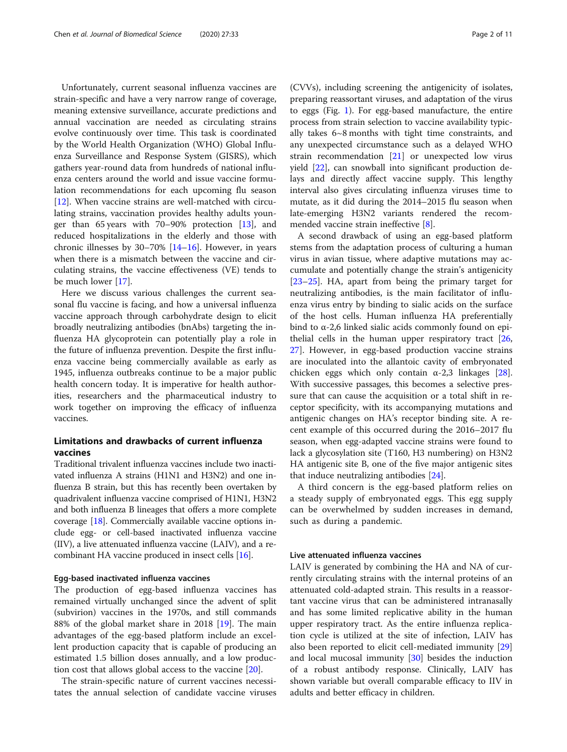Unfortunately, current seasonal influenza vaccines are strain-specific and have a very narrow range of coverage, meaning extensive surveillance, accurate predictions and annual vaccination are needed as circulating strains evolve continuously over time. This task is coordinated by the World Health Organization (WHO) Global Influenza Surveillance and Response System (GISRS), which gathers year-round data from hundreds of national influenza centers around the world and issue vaccine formulation recommendations for each upcoming flu season [[12\]](#page-8-0). When vaccine strains are well-matched with circulating strains, vaccination provides healthy adults younger than 65 years with 70–90% protection [\[13\]](#page-8-0), and reduced hospitalizations in the elderly and those with chronic illnesses by 30–70% [\[14](#page-9-0)–[16\]](#page-9-0). However, in years when there is a mismatch between the vaccine and circulating strains, the vaccine effectiveness (VE) tends to be much lower [[17\]](#page-9-0).

Here we discuss various challenges the current seasonal flu vaccine is facing, and how a universal influenza vaccine approach through carbohydrate design to elicit broadly neutralizing antibodies (bnAbs) targeting the influenza HA glycoprotein can potentially play a role in the future of influenza prevention. Despite the first influenza vaccine being commercially available as early as 1945, influenza outbreaks continue to be a major public health concern today. It is imperative for health authorities, researchers and the pharmaceutical industry to work together on improving the efficacy of influenza vaccines.

# Limitations and drawbacks of current influenza vaccines

Traditional trivalent influenza vaccines include two inactivated influenza A strains (H1N1 and H3N2) and one influenza B strain, but this has recently been overtaken by quadrivalent influenza vaccine comprised of H1N1, H3N2 and both influenza B lineages that offers a more complete coverage [\[18\]](#page-9-0). Commercially available vaccine options include egg- or cell-based inactivated influenza vaccine (IIV), a live attenuated influenza vaccine (LAIV), and a recombinant HA vaccine produced in insect cells [\[16\]](#page-9-0).

#### Egg-based inactivated influenza vaccines

The production of egg-based influenza vaccines has remained virtually unchanged since the advent of split (subvirion) vaccines in the 1970s, and still commands 88% of the global market share in 2018 [[19\]](#page-9-0). The main advantages of the egg-based platform include an excellent production capacity that is capable of producing an estimated 1.5 billion doses annually, and a low production cost that allows global access to the vaccine [\[20\]](#page-9-0).

The strain-specific nature of current vaccines necessitates the annual selection of candidate vaccine viruses

(CVVs), including screening the antigenicity of isolates, preparing reassortant viruses, and adaptation of the virus to eggs (Fig. [1\)](#page-2-0). For egg-based manufacture, the entire process from strain selection to vaccine availability typically takes 6~8 months with tight time constraints, and any unexpected circumstance such as a delayed WHO strain recommendation  $[21]$  $[21]$  or unexpected low virus yield [\[22](#page-9-0)], can snowball into significant production delays and directly affect vaccine supply. This lengthy interval also gives circulating influenza viruses time to mutate, as it did during the 2014–2015 flu season when late-emerging H3N2 variants rendered the recommended vaccine strain ineffective [\[8\]](#page-8-0).

A second drawback of using an egg-based platform stems from the adaptation process of culturing a human virus in avian tissue, where adaptive mutations may accumulate and potentially change the strain's antigenicity [[23](#page-9-0)–[25](#page-9-0)]. HA, apart from being the primary target for neutralizing antibodies, is the main facilitator of influenza virus entry by binding to sialic acids on the surface of the host cells. Human influenza HA preferentially bind to α-2,6 linked sialic acids commonly found on epithelial cells in the human upper respiratory tract  $[26,$  $[26,$  $[26,$ [27\]](#page-9-0). However, in egg-based production vaccine strains are inoculated into the allantoic cavity of embryonated chicken eggs which only contain  $\alpha$ -2,3 linkages [\[28](#page-9-0)]. With successive passages, this becomes a selective pressure that can cause the acquisition or a total shift in receptor specificity, with its accompanying mutations and antigenic changes on HA's receptor binding site. A recent example of this occurred during the 2016–2017 flu season, when egg-adapted vaccine strains were found to lack a glycosylation site (T160, H3 numbering) on H3N2 HA antigenic site B, one of the five major antigenic sites that induce neutralizing antibodies [\[24](#page-9-0)].

A third concern is the egg-based platform relies on a steady supply of embryonated eggs. This egg supply can be overwhelmed by sudden increases in demand, such as during a pandemic.

# Live attenuated influenza vaccines

LAIV is generated by combining the HA and NA of currently circulating strains with the internal proteins of an attenuated cold-adapted strain. This results in a reassortant vaccine virus that can be administered intranasally and has some limited replicative ability in the human upper respiratory tract. As the entire influenza replication cycle is utilized at the site of infection, LAIV has also been reported to elicit cell-mediated immunity [[29](#page-9-0)] and local mucosal immunity [[30\]](#page-9-0) besides the induction of a robust antibody response. Clinically, LAIV has shown variable but overall comparable efficacy to IIV in adults and better efficacy in children.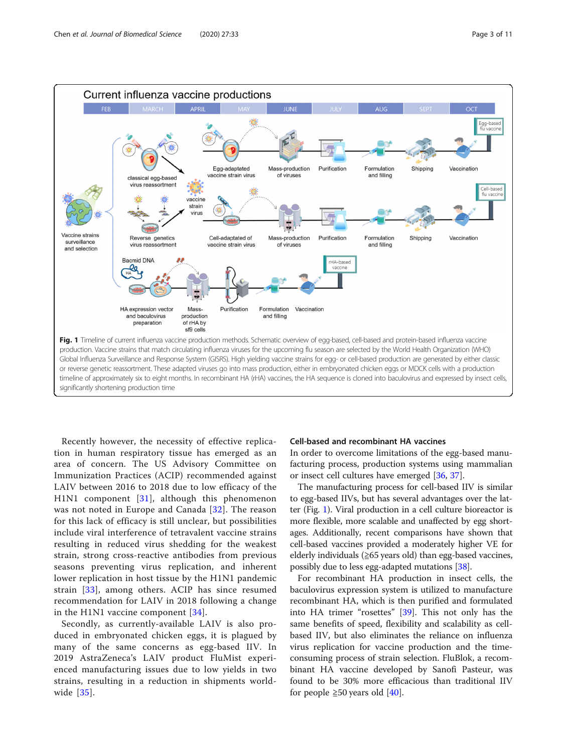<span id="page-2-0"></span>

Recently however, the necessity of effective replication in human respiratory tissue has emerged as an area of concern. The US Advisory Committee on Immunization Practices (ACIP) recommended against LAIV between 2016 to 2018 due to low efficacy of the H1N1 component [[31\]](#page-9-0), although this phenomenon was not noted in Europe and Canada [\[32\]](#page-9-0). The reason for this lack of efficacy is still unclear, but possibilities include viral interference of tetravalent vaccine strains resulting in reduced virus shedding for the weakest strain, strong cross-reactive antibodies from previous seasons preventing virus replication, and inherent lower replication in host tissue by the H1N1 pandemic strain [[33\]](#page-9-0), among others. ACIP has since resumed recommendation for LAIV in 2018 following a change in the H1N1 vaccine component [[34](#page-9-0)].

Secondly, as currently-available LAIV is also produced in embryonated chicken eggs, it is plagued by many of the same concerns as egg-based IIV. In 2019 AstraZeneca's LAIV product FluMist experienced manufacturing issues due to low yields in two strains, resulting in a reduction in shipments worldwide [[35](#page-9-0)].

### Cell-based and recombinant HA vaccines

In order to overcome limitations of the egg-based manufacturing process, production systems using mammalian or insect cell cultures have emerged [\[36,](#page-9-0) [37\]](#page-9-0).

The manufacturing process for cell-based IIV is similar to egg-based IIVs, but has several advantages over the latter (Fig. 1). Viral production in a cell culture bioreactor is more flexible, more scalable and unaffected by egg shortages. Additionally, recent comparisons have shown that cell-based vaccines provided a moderately higher VE for elderly individuals ( $\geq 65$  years old) than egg-based vaccines, possibly due to less egg-adapted mutations [\[38\]](#page-9-0).

For recombinant HA production in insect cells, the baculovirus expression system is utilized to manufacture recombinant HA, which is then purified and formulated into HA trimer "rosettes" [[39\]](#page-9-0). This not only has the same benefits of speed, flexibility and scalability as cellbased IIV, but also eliminates the reliance on influenza virus replication for vaccine production and the timeconsuming process of strain selection. FluBlok, a recombinant HA vaccine developed by Sanofi Pasteur, was found to be 30% more efficacious than traditional IIV for people  $\geq 50$  years old [\[40](#page-9-0)].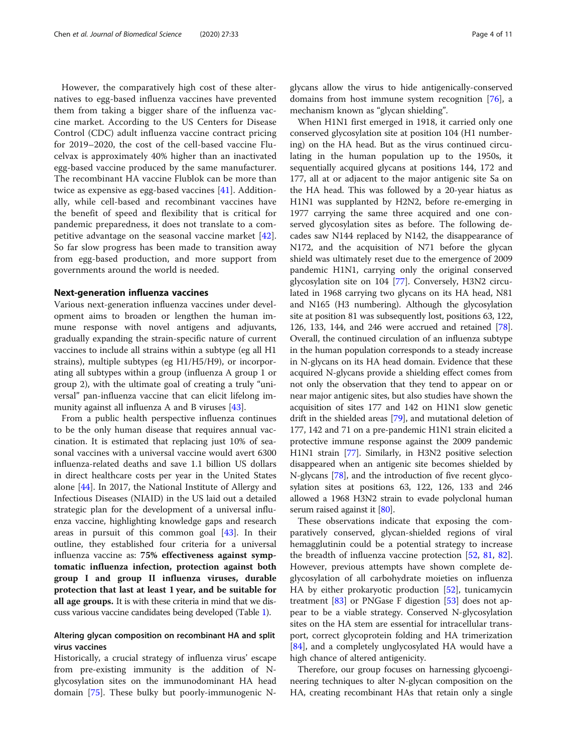However, the comparatively high cost of these alternatives to egg-based influenza vaccines have prevented them from taking a bigger share of the influenza vaccine market. According to the US Centers for Disease Control (CDC) adult influenza vaccine contract pricing for 2019–2020, the cost of the cell-based vaccine Flucelvax is approximately 40% higher than an inactivated egg-based vaccine produced by the same manufacturer. The recombinant HA vaccine Flublok can be more than twice as expensive as egg-based vaccines [[41\]](#page-9-0). Additionally, while cell-based and recombinant vaccines have the benefit of speed and flexibility that is critical for pandemic preparedness, it does not translate to a competitive advantage on the seasonal vaccine market [\[42](#page-9-0)]. So far slow progress has been made to transition away from egg-based production, and more support from governments around the world is needed.

#### Next-generation influenza vaccines

Various next-generation influenza vaccines under development aims to broaden or lengthen the human immune response with novel antigens and adjuvants, gradually expanding the strain-specific nature of current vaccines to include all strains within a subtype (eg all H1 strains), multiple subtypes (eg H1/H5/H9), or incorporating all subtypes within a group (influenza A group 1 or group 2), with the ultimate goal of creating a truly "universal" pan-influenza vaccine that can elicit lifelong im-munity against all influenza A and B viruses [\[43](#page-9-0)].

From a public health perspective influenza continues to be the only human disease that requires annual vaccination. It is estimated that replacing just 10% of seasonal vaccines with a universal vaccine would avert 6300 influenza-related deaths and save 1.1 billion US dollars in direct healthcare costs per year in the United States alone [[44\]](#page-9-0). In 2017, the National Institute of Allergy and Infectious Diseases (NIAID) in the US laid out a detailed strategic plan for the development of a universal influenza vaccine, highlighting knowledge gaps and research areas in pursuit of this common goal  $[43]$  $[43]$  $[43]$ . In their outline, they established four criteria for a universal influenza vaccine as: 75% effectiveness against symptomatic influenza infection, protection against both group I and group II influenza viruses, durable protection that last at least 1 year, and be suitable for all age groups. It is with these criteria in mind that we discuss various vaccine candidates being developed (Table [1\)](#page-4-0).

# Altering glycan composition on recombinant HA and split virus vaccines

Historically, a crucial strategy of influenza virus' escape from pre-existing immunity is the addition of Nglycosylation sites on the immunodominant HA head domain [\[75](#page-10-0)]. These bulky but poorly-immunogenic N- glycans allow the virus to hide antigenically-conserved domains from host immune system recognition [[76](#page-10-0)], a mechanism known as "glycan shielding".

When H1N1 first emerged in 1918, it carried only one conserved glycosylation site at position 104 (H1 numbering) on the HA head. But as the virus continued circulating in the human population up to the 1950s, it sequentially acquired glycans at positions 144, 172 and 177, all at or adjacent to the major antigenic site Sa on the HA head. This was followed by a 20-year hiatus as H1N1 was supplanted by H2N2, before re-emerging in 1977 carrying the same three acquired and one conserved glycosylation sites as before. The following decades saw N144 replaced by N142, the disappearance of N172, and the acquisition of N71 before the glycan shield was ultimately reset due to the emergence of 2009 pandemic H1N1, carrying only the original conserved glycosylation site on 104 [[77](#page-10-0)]. Conversely, H3N2 circulated in 1968 carrying two glycans on its HA head, N81 and N165 (H3 numbering). Although the glycosylation site at position 81 was subsequently lost, positions 63, 122, 126, 133, 144, and 246 were accrued and retained [[78](#page-10-0)]. Overall, the continued circulation of an influenza subtype in the human population corresponds to a steady increase in N-glycans on its HA head domain. Evidence that these acquired N-glycans provide a shielding effect comes from not only the observation that they tend to appear on or near major antigenic sites, but also studies have shown the acquisition of sites 177 and 142 on H1N1 slow genetic drift in the shielded areas [\[79](#page-10-0)], and mutational deletion of 177, 142 and 71 on a pre-pandemic H1N1 strain elicited a protective immune response against the 2009 pandemic H1N1 strain [\[77](#page-10-0)]. Similarly, in H3N2 positive selection disappeared when an antigenic site becomes shielded by N-glycans [\[78\]](#page-10-0), and the introduction of five recent glycosylation sites at positions 63, 122, 126, 133 and 246 allowed a 1968 H3N2 strain to evade polyclonal human serum raised against it [\[80\]](#page-10-0).

These observations indicate that exposing the comparatively conserved, glycan-shielded regions of viral hemagglutinin could be a potential strategy to increase the breadth of influenza vaccine protection [\[52,](#page-9-0) [81,](#page-10-0) [82](#page-10-0)]. However, previous attempts have shown complete deglycosylation of all carbohydrate moieties on influenza HA by either prokaryotic production [[52\]](#page-9-0), tunicamycin treatment [\[83](#page-10-0)] or PNGase F digestion [\[53](#page-9-0)] does not appear to be a viable strategy. Conserved N-glycosylation sites on the HA stem are essential for intracellular transport, correct glycoprotein folding and HA trimerization [[84\]](#page-10-0), and a completely unglycosylated HA would have a high chance of altered antigenicity.

Therefore, our group focuses on harnessing glycoengineering techniques to alter N-glycan composition on the HA, creating recombinant HAs that retain only a single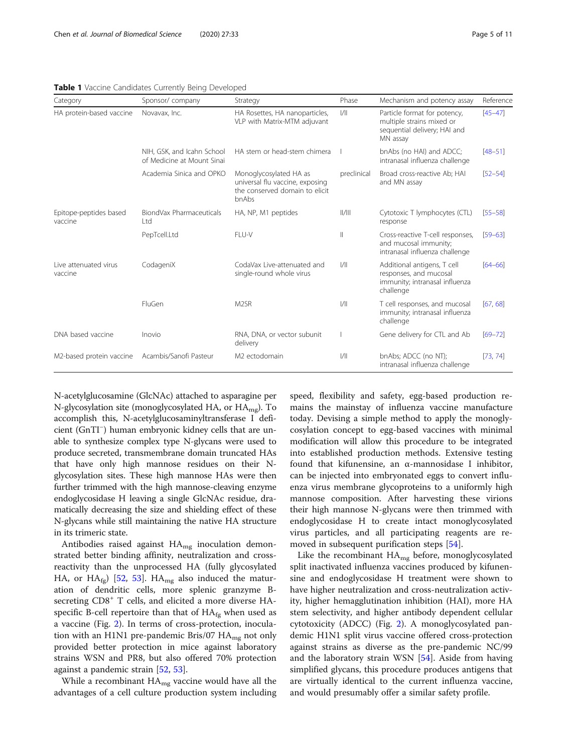<span id="page-4-0"></span>

|  |  |  | Table 1 Vaccine Candidates Currently Being Developed |  |
|--|--|--|------------------------------------------------------|--|
|--|--|--|------------------------------------------------------|--|

| Category                          | Sponsor/company                                          | Strategy                                                                                             | Phase       | Mechanism and potency assay                                                                           | Reference   |
|-----------------------------------|----------------------------------------------------------|------------------------------------------------------------------------------------------------------|-------------|-------------------------------------------------------------------------------------------------------|-------------|
| HA protein-based vaccine          | Novavax, Inc.                                            | HA Rosettes, HA nanoparticles,<br>VLP with Matrix-MTM adjuvant                                       | /           | Particle format for potency,<br>multiple strains mixed or<br>sequential delivery; HAI and<br>MN assay | $[45 - 47]$ |
|                                   | NIH, GSK, and Icahn School<br>of Medicine at Mount Sinai | HA stem or head-stem chimera                                                                         |             | bnAbs (no HAI) and ADCC;<br>intranasal influenza challenge                                            | $[48 - 51]$ |
|                                   | Academia Sinica and OPKO                                 | Monoglycosylated HA as<br>universal flu vaccine, exposing<br>the conserved domain to elicit<br>bnAbs | preclinical | Broad cross-reactive Ab; HAI<br>and MN assay                                                          | $[52 - 54]$ |
| Epitope-peptides based<br>vaccine | BiondVax Pharmaceuticals<br>Ltd                          | HA, NP, M1 peptides                                                                                  | /           | Cytotoxic T lymphocytes (CTL)<br>response                                                             | $[55 - 58]$ |
|                                   | PepTcell.Ltd                                             | FLU-V                                                                                                | $\parallel$ | Cross-reactive T-cell responses,<br>and mucosal immunity;<br>intranasal influenza challenge           | $[59 - 63]$ |
| Live attenuated virus<br>vaccine  | CodageniX                                                | CodaVax Live-attenuated and<br>single-round whole virus                                              | /           | Additional antigens, T cell<br>responses, and mucosal<br>immunity; intranasal influenza<br>challenge  | $[64 - 66]$ |
|                                   | FluGen                                                   | M <sub>2</sub> SR                                                                                    | /           | T cell responses, and mucosal<br>immunity; intranasal influenza<br>challenge                          | [67, 68]    |
| DNA based vaccine                 | Inovio                                                   | RNA, DNA, or vector subunit<br>delivery                                                              |             | Gene delivery for CTL and Ab                                                                          | $[69 - 72]$ |
| M2-based protein vaccine          | Acambis/Sanofi Pasteur                                   | M2 ectodomain                                                                                        | /           | bnAbs; ADCC (no NT);<br>intranasal influenza challenge                                                | [73, 74]    |

N-acetylglucosamine (GlcNAc) attached to asparagine per N-glycosylation site (monoglycosylated HA, or  $HA_{mg}$ ). To accomplish this, N-acetylglucosaminyltransferase I deficient (GnTI<sup>−</sup> ) human embryonic kidney cells that are unable to synthesize complex type N-glycans were used to produce secreted, transmembrane domain truncated HAs that have only high mannose residues on their Nglycosylation sites. These high mannose HAs were then further trimmed with the high mannose-cleaving enzyme endoglycosidase H leaving a single GlcNAc residue, dramatically decreasing the size and shielding effect of these N-glycans while still maintaining the native HA structure in its trimeric state.

Antibodies raised against HAmg inoculation demonstrated better binding affinity, neutralization and crossreactivity than the unprocessed HA (fully glycosylated HA, or HA<sub>fg</sub>) [\[52](#page-9-0), [53\]](#page-9-0). HA<sub>mg</sub> also induced the maturation of dendritic cells, more splenic granzyme Bsecreting CD8<sup>+</sup> T cells, and elicited a more diverse HAspecific B-cell repertoire than that of  $HA_{fg}$  when used as a vaccine (Fig. [2\)](#page-6-0). In terms of cross-protection, inoculation with an H1N1 pre-pandemic Bris/07  $HA_{mg}$  not only provided better protection in mice against laboratory strains WSN and PR8, but also offered 70% protection against a pandemic strain [\[52](#page-9-0), [53\]](#page-8-0).

While a recombinant  $HA_{mg}$  vaccine would have all the advantages of a cell culture production system including

speed, flexibility and safety, egg-based production remains the mainstay of influenza vaccine manufacture today. Devising a simple method to apply the monoglycosylation concept to egg-based vaccines with minimal modification will allow this procedure to be integrated into established production methods. Extensive testing found that kifunensine, an α-mannosidase I inhibitor, can be injected into embryonated eggs to convert influenza virus membrane glycoproteins to a uniformly high mannose composition. After harvesting these virions their high mannose N-glycans were then trimmed with endoglycosidase H to create intact monoglycosylated virus particles, and all participating reagents are removed in subsequent purification steps [\[54](#page-9-0)].

Like the recombinant  $HA_{mg}$  before, monoglycosylated split inactivated influenza vaccines produced by kifunensine and endoglycosidase H treatment were shown to have higher neutralization and cross-neutralization activity, higher hemagglutination inhibition (HAI), more HA stem selectivity, and higher antibody dependent cellular cytotoxicity (ADCC) (Fig. [2\)](#page-6-0). A monoglycosylated pandemic H1N1 split virus vaccine offered cross-protection against strains as diverse as the pre-pandemic NC/99 and the laboratory strain WSN [\[54](#page-9-0)]. Aside from having simplified glycans, this procedure produces antigens that are virtually identical to the current influenza vaccine, and would presumably offer a similar safety profile.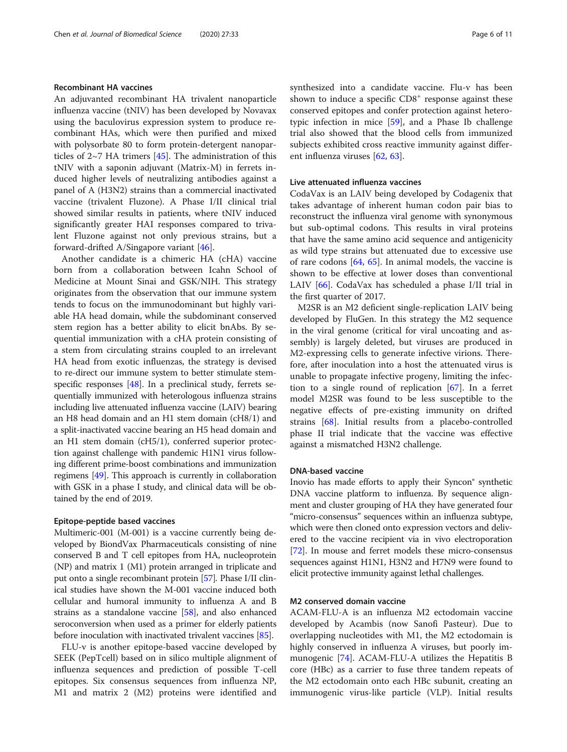# Recombinant HA vaccines

An adjuvanted recombinant HA trivalent nanoparticle influenza vaccine (tNIV) has been developed by Novavax using the baculovirus expression system to produce recombinant HAs, which were then purified and mixed with polysorbate 80 to form protein-detergent nanoparticles of 2~7 HA trimers [\[45](#page-9-0)]. The administration of this tNIV with a saponin adjuvant (Matrix-M) in ferrets induced higher levels of neutralizing antibodies against a panel of A (H3N2) strains than a commercial inactivated vaccine (trivalent Fluzone). A Phase I/II clinical trial showed similar results in patients, where tNIV induced significantly greater HAI responses compared to trivalent Fluzone against not only previous strains, but a forward-drifted A/Singapore variant [\[46](#page-9-0)].

Another candidate is a chimeric HA (cHA) vaccine born from a collaboration between Icahn School of Medicine at Mount Sinai and GSK/NIH. This strategy originates from the observation that our immune system tends to focus on the immunodominant but highly variable HA head domain, while the subdominant conserved stem region has a better ability to elicit bnAbs. By sequential immunization with a cHA protein consisting of a stem from circulating strains coupled to an irrelevant HA head from exotic influenzas, the strategy is devised to re-direct our immune system to better stimulate stemspecific responses  $[48]$ . In a preclinical study, ferrets sequentially immunized with heterologous influenza strains including live attenuated influenza vaccine (LAIV) bearing an H8 head domain and an H1 stem domain (cH8/1) and a split-inactivated vaccine bearing an H5 head domain and an H1 stem domain (cH5/1), conferred superior protection against challenge with pandemic H1N1 virus following different prime-boost combinations and immunization regimens [\[49\]](#page-9-0). This approach is currently in collaboration with GSK in a phase I study, and clinical data will be obtained by the end of 2019.

#### Epitope-peptide based vaccines

Multimeric-001 (M-001) is a vaccine currently being developed by BiondVax Pharmaceuticals consisting of nine conserved B and T cell epitopes from HA, nucleoprotein (NP) and matrix 1 (M1) protein arranged in triplicate and put onto a single recombinant protein [\[57\]](#page-9-0). Phase I/II clinical studies have shown the M-001 vaccine induced both cellular and humoral immunity to influenza A and B strains as a standalone vaccine [\[58](#page-10-0)], and also enhanced seroconversion when used as a primer for elderly patients before inoculation with inactivated trivalent vaccines [[85](#page-10-0)].

FLU-v is another epitope-based vaccine developed by SEEK (PepTcell) based on in silico multiple alignment of influenza sequences and prediction of possible T-cell epitopes. Six consensus sequences from influenza NP, M1 and matrix 2 (M2) proteins were identified and synthesized into a candidate vaccine. Flu-v has been shown to induce a specific  $CD8<sup>+</sup>$  response against these conserved epitopes and confer protection against heterotypic infection in mice [\[59\]](#page-10-0), and a Phase Ib challenge trial also showed that the blood cells from immunized subjects exhibited cross reactive immunity against different influenza viruses [[62,](#page-10-0) [63\]](#page-10-0).

#### Live attenuated influenza vaccines

CodaVax is an LAIV being developed by Codagenix that takes advantage of inherent human codon pair bias to reconstruct the influenza viral genome with synonymous but sub-optimal codons. This results in viral proteins that have the same amino acid sequence and antigenicity as wild type strains but attenuated due to excessive use of rare codons [\[64,](#page-10-0) [65](#page-10-0)]. In animal models, the vaccine is shown to be effective at lower doses than conventional LAIV [\[66](#page-10-0)]. CodaVax has scheduled a phase I/II trial in the first quarter of 2017.

M2SR is an M2 deficient single-replication LAIV being developed by FluGen. In this strategy the M2 sequence in the viral genome (critical for viral uncoating and assembly) is largely deleted, but viruses are produced in M2-expressing cells to generate infective virions. Therefore, after inoculation into a host the attenuated virus is unable to propagate infective progeny, limiting the infection to a single round of replication [[67](#page-10-0)]. In a ferret model M2SR was found to be less susceptible to the negative effects of pre-existing immunity on drifted strains [[68\]](#page-10-0). Initial results from a placebo-controlled phase II trial indicate that the vaccine was effective against a mismatched H3N2 challenge.

# DNA-based vaccine

Inovio has made efforts to apply their Syncon® synthetic DNA vaccine platform to influenza. By sequence alignment and cluster grouping of HA they have generated four "micro-consensus" sequences within an influenza subtype, which were then cloned onto expression vectors and delivered to the vaccine recipient via in vivo electroporation [[72](#page-10-0)]. In mouse and ferret models these micro-consensus sequences against H1N1, H3N2 and H7N9 were found to elicit protective immunity against lethal challenges.

# M2 conserved domain vaccine

ACAM-FLU-A is an influenza M2 ectodomain vaccine developed by Acambis (now Sanofi Pasteur). Due to overlapping nucleotides with M1, the M2 ectodomain is highly conserved in influenza A viruses, but poorly immunogenic [\[74](#page-10-0)]. ACAM-FLU-A utilizes the Hepatitis B core (HBc) as a carrier to fuse three tandem repeats of the M2 ectodomain onto each HBc subunit, creating an immunogenic virus-like particle (VLP). Initial results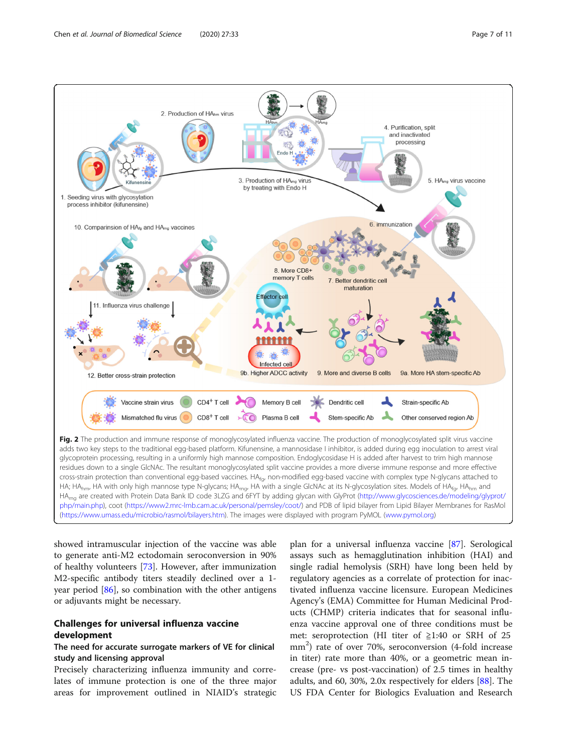<span id="page-6-0"></span>

residues down to a single GlcNAc. The resultant monoglycosylated split vaccine provides a more diverse immune response and more effective cross-strain protection than conventional egg-based vaccines. HA<sub>fq</sub>, non-modified egg-based vaccine with complex type N-glycans attached to HA; HA<sub>hm</sub>, HA with only high mannose type N-glycans; HA<sub>mg</sub>, HA with a single GlcNAc at its N-glycosylation sites. Models of HA<sub>fg</sub>, HA<sub>hm</sub> and HAmg are created with Protein Data Bank ID code 3LZG and 6FYT by adding glycan with GlyProt ([http://www.glycosciences.de/modeling/glyprot/](http://www.glycosciences.de/modeling/glyprot/php/main.php) [php/main.php](http://www.glycosciences.de/modeling/glyprot/php/main.php)), coot [\(https://www2.mrc-lmb.cam.ac.uk/personal/pemsley/coot/\)](https://www2.mrc-lmb.cam.ac.uk/personal/pemsley/coot/) and PDB of lipid bilayer from Lipid Bilayer Membranes for RasMol (<https://www.umass.edu/microbio/rasmol/bilayers.htm>). The images were displayed with program PyMOL [\(www.pymol.org](http://www.pymol.org))

showed intramuscular injection of the vaccine was able to generate anti-M2 ectodomain seroconversion in 90% of healthy volunteers [\[73](#page-10-0)]. However, after immunization M2-specific antibody titers steadily declined over a 1 year period [\[86](#page-10-0)], so combination with the other antigens or adjuvants might be necessary.

# Challenges for universal influenza vaccine development

# The need for accurate surrogate markers of VE for clinical study and licensing approval

Precisely characterizing influenza immunity and correlates of immune protection is one of the three major areas for improvement outlined in NIAID's strategic plan for a universal influenza vaccine [\[87\]](#page-10-0). Serological assays such as hemagglutination inhibition (HAI) and single radial hemolysis (SRH) have long been held by regulatory agencies as a correlate of protection for inactivated influenza vaccine licensure. European Medicines Agency's (EMA) Committee for Human Medicinal Products (CHMP) criteria indicates that for seasonal influenza vaccine approval one of three conditions must be met: seroprotection (HI titer of  $\geq$ 1:40 or SRH of 25 mm<sup>2</sup> ) rate of over 70%, seroconversion (4-fold increase in titer) rate more than 40%, or a geometric mean increase (pre- vs post-vaccination) of 2.5 times in healthy adults, and 60, 30%, 2.0x respectively for elders [\[88\]](#page-10-0). The US FDA Center for Biologics Evaluation and Research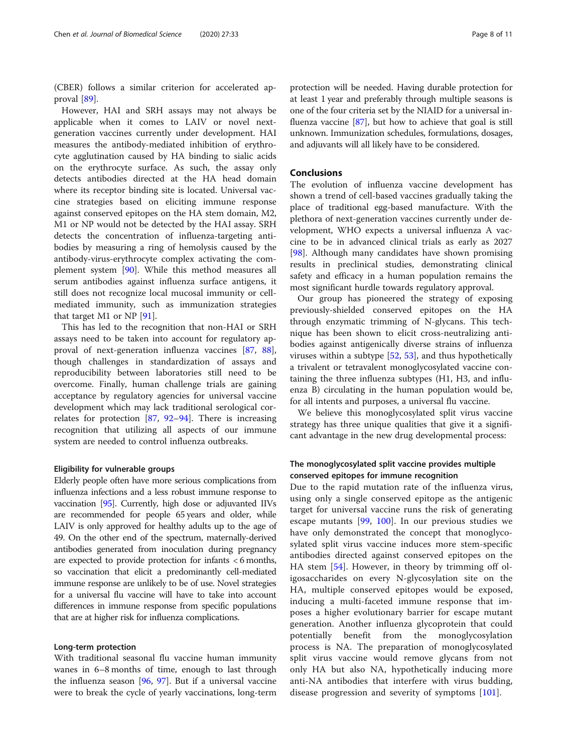(CBER) follows a similar criterion for accelerated approval [\[89](#page-10-0)].

However, HAI and SRH assays may not always be applicable when it comes to LAIV or novel nextgeneration vaccines currently under development. HAI measures the antibody-mediated inhibition of erythrocyte agglutination caused by HA binding to sialic acids on the erythrocyte surface. As such, the assay only detects antibodies directed at the HA head domain where its receptor binding site is located. Universal vaccine strategies based on eliciting immune response against conserved epitopes on the HA stem domain, M2, M1 or NP would not be detected by the HAI assay. SRH detects the concentration of influenza-targeting antibodies by measuring a ring of hemolysis caused by the antibody-virus-erythrocyte complex activating the complement system [\[90](#page-10-0)]. While this method measures all serum antibodies against influenza surface antigens, it still does not recognize local mucosal immunity or cellmediated immunity, such as immunization strategies that target M1 or NP [[91\]](#page-10-0).

This has led to the recognition that non-HAI or SRH assays need to be taken into account for regulatory approval of next-generation influenza vaccines [[87,](#page-10-0) [88](#page-10-0)], though challenges in standardization of assays and reproducibility between laboratories still need to be overcome. Finally, human challenge trials are gaining acceptance by regulatory agencies for universal vaccine development which may lack traditional serological correlates for protection [\[87](#page-10-0), [92](#page-10-0)–[94\]](#page-10-0). There is increasing recognition that utilizing all aspects of our immune system are needed to control influenza outbreaks.

#### Eligibility for vulnerable groups

Elderly people often have more serious complications from influenza infections and a less robust immune response to vaccination [\[95\]](#page-10-0). Currently, high dose or adjuvanted IIVs are recommended for people 65 years and older, while LAIV is only approved for healthy adults up to the age of 49. On the other end of the spectrum, maternally-derived antibodies generated from inoculation during pregnancy are expected to provide protection for infants < 6 months, so vaccination that elicit a predominantly cell-mediated immune response are unlikely to be of use. Novel strategies for a universal flu vaccine will have to take into account differences in immune response from specific populations that are at higher risk for influenza complications.

### Long-term protection

With traditional seasonal flu vaccine human immunity wanes in 6–8 months of time, enough to last through the influenza season [[96,](#page-10-0) [97\]](#page-10-0). But if a universal vaccine were to break the cycle of yearly vaccinations, long-term

protection will be needed. Having durable protection for at least 1 year and preferably through multiple seasons is one of the four criteria set by the NIAID for a universal influenza vaccine [\[87](#page-10-0)], but how to achieve that goal is still unknown. Immunization schedules, formulations, dosages, and adjuvants will all likely have to be considered.

# Conclusions

The evolution of influenza vaccine development has shown a trend of cell-based vaccines gradually taking the place of traditional egg-based manufacture. With the plethora of next-generation vaccines currently under development, WHO expects a universal influenza A vaccine to be in advanced clinical trials as early as 2027 [[98\]](#page-10-0). Although many candidates have shown promising results in preclinical studies, demonstrating clinical safety and efficacy in a human population remains the most significant hurdle towards regulatory approval.

Our group has pioneered the strategy of exposing previously-shielded conserved epitopes on the HA through enzymatic trimming of N-glycans. This technique has been shown to elicit cross-neutralizing antibodies against antigenically diverse strains of influenza viruses within a subtype [[52,](#page-9-0) [53\]](#page-9-0), and thus hypothetically a trivalent or tetravalent monoglycosylated vaccine containing the three influenza subtypes (H1, H3, and influenza B) circulating in the human population would be, for all intents and purposes, a universal flu vaccine.

We believe this monoglycosylated split virus vaccine strategy has three unique qualities that give it a significant advantage in the new drug developmental process:

# The monoglycosylated split vaccine provides multiple conserved epitopes for immune recognition

Due to the rapid mutation rate of the influenza virus, using only a single conserved epitope as the antigenic target for universal vaccine runs the risk of generating escape mutants [[99,](#page-10-0) [100\]](#page-10-0). In our previous studies we have only demonstrated the concept that monoglycosylated split virus vaccine induces more stem-specific antibodies directed against conserved epitopes on the HA stem [\[54](#page-9-0)]. However, in theory by trimming off oligosaccharides on every N-glycosylation site on the HA, multiple conserved epitopes would be exposed, inducing a multi-faceted immune response that imposes a higher evolutionary barrier for escape mutant generation. Another influenza glycoprotein that could potentially benefit from the monoglycosylation process is NA. The preparation of monoglycosylated split virus vaccine would remove glycans from not only HA but also NA, hypothetically inducing more anti-NA antibodies that interfere with virus budding, disease progression and severity of symptoms [[101\]](#page-10-0).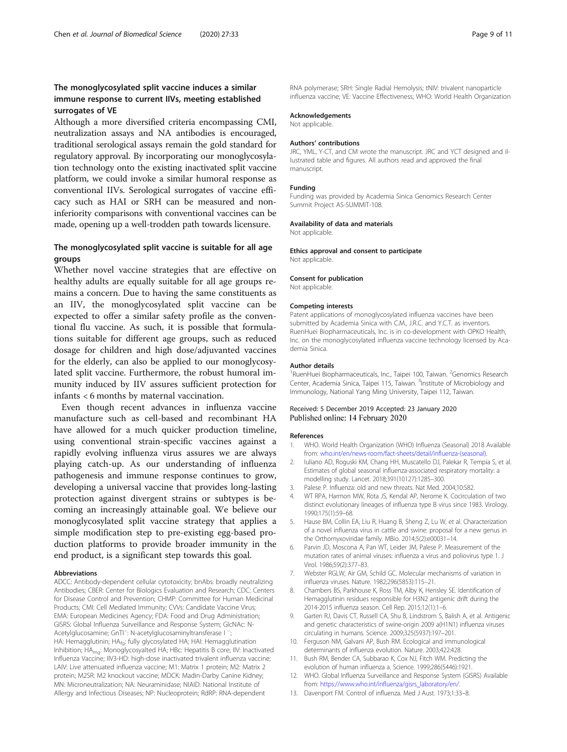# <span id="page-8-0"></span>The monoglycosylated split vaccine induces a similar immune response to current IIVs, meeting established surrogates of VE

Although a more diversified criteria encompassing CMI, neutralization assays and NA antibodies is encouraged, traditional serological assays remain the gold standard for regulatory approval. By incorporating our monoglycosylation technology onto the existing inactivated split vaccine platform, we could invoke a similar humoral response as conventional IIVs. Serological surrogates of vaccine efficacy such as HAI or SRH can be measured and noninferiority comparisons with conventional vaccines can be made, opening up a well-trodden path towards licensure.

# The monoglycosylated split vaccine is suitable for all age groups

Whether novel vaccine strategies that are effective on healthy adults are equally suitable for all age groups remains a concern. Due to having the same constituents as an IIV, the monoglycosylated split vaccine can be expected to offer a similar safety profile as the conventional flu vaccine. As such, it is possible that formulations suitable for different age groups, such as reduced dosage for children and high dose/adjuvanted vaccines for the elderly, can also be applied to our monoglycosylated split vaccine. Furthermore, the robust humoral immunity induced by IIV assures sufficient protection for infants < 6 months by maternal vaccination.

Even though recent advances in influenza vaccine manufacture such as cell-based and recombinant HA have allowed for a much quicker production timeline, using conventional strain-specific vaccines against a rapidly evolving influenza virus assures we are always playing catch-up. As our understanding of influenza pathogenesis and immune response continues to grow, developing a universal vaccine that provides long-lasting protection against divergent strains or subtypes is becoming an increasingly attainable goal. We believe our monoglycosylated split vaccine strategy that applies a simple modification step to pre-existing egg-based production platforms to provide broader immunity in the end product, is a significant step towards this goal.

#### Abbreviations

ADCC: Antibody-dependent cellular cytotoxicity; bnAbs: broadly neutralizing Antibodies; CBER: Center for Biologics Evaluation and Research; CDC: Centers for Disease Control and Prevention; CHMP: Committee for Human Medicinal Products; CMI: Cell Mediated Immunity; CVVs: Candidate Vaccine Virus; EMA: European Medicines Agency; FDA: Food and Drug Administration; GISRS: Global Influenza Surveillance and Response System; GlcNAc: N-Acetylglucosamine; GnTI<sup>−</sup> : N-acetylglucosaminyltransferase I <sup>−</sup> ; HA: Hemagglutinin; HAfg: fully glycosylated HA; HAI: Hemagglutination Inhibition; HAmg: Monoglycosyalted HA; HBc: Hepatitis B core; IIV: Inactivated Influenza Vaccine; IIV3-HD: high-dose inactivated trivalent influenza vaccine; LAIV: Live attenuated influenza vaccine; M1: Matrix 1 protein; M2: Matrix 2 protein; M2SR: M2 knockout vaccine; MDCK: Madin-Darby Canine Kidney; MN: Microneutralization; NA: Neuraminidase; NIAID: National Institute of Allergy and Infectious Diseases; NP: Nucleoprotein; RdRP: RNA-dependent

RNA polymerase; SRH: Single Radial Hemolysis; tNIV: trivalent nanoparticle influenza vaccine; VE: Vaccine Effectiveness; WHO: World Health Organization

#### Acknowledgements

Not applicable.

#### Authors' contributions

JRC, YML, Y-CT, and CM wrote the manuscript. JRC and YCT designed and illustrated table and figures. All authors read and approved the final manuscript.

#### Funding

Funding was provided by Academia Sinica Genomics Research Center Summit Project AS-SUMMIT-108.

#### Availability of data and materials

Not applicable.

Ethics approval and consent to participate Not applicable.

#### Consent for publication

Not applicable.

#### Competing interests

Patent applications of monoglycosylated influenza vaccines have been submitted by Academia Sinica with C.M., J.R.C. and Y.C.T. as inventors. RuenHuei Biopharmaceuticals, Inc. is in co-development with OPKO Health, Inc. on the monoglycosylated influenza vaccine technology licensed by Academia Sinica.

#### Author details

<sup>1</sup>RuenHuei Biopharmaceuticals, Inc., Taipei 100, Taiwan. <sup>2</sup>Genomics Research Center, Academia Sinica, Taipei 115, Taiwan. <sup>3</sup>Institute of Microbiology and Immunology, National Yang Ming University, Taipei 112, Taiwan.

#### Received: 5 December 2019 Accepted: 23 January 2020 Published online: 14 February 2020

#### References

- 1. WHO. World Health Organization (WHO) Influenza (Seasonal) 2018 Available from: who.int/en/news-room/fact-sheets/detail/influenza-(seasonal).
- 2. Iuliano AD, Roguski KM, Chang HH, Muscatello DJ, Palekar R, Tempia S, et al. Estimates of global seasonal influenza-associated respiratory mortality: a modelling study. Lancet. 2018;391(10127):1285–300.
- 3. Palese P. Influenza: old and new threats. Nat Med. 2004;10:S82.
- 4. WT RPA, Harmon MW, Rota JS, Kendal AP, Nerome K. Cocirculation of two distinct evolutionary lineages of influenza type B virus since 1983. Virology. 1990;175(1):59–68.
- 5. Hause BM, Collin EA, Liu R, Huang B, Sheng Z, Lu W, et al. Characterization of a novel influenza virus in cattle and swine: proposal for a new genus in the Orthomyxoviridae family. MBio. 2014;5(2):e00031–14.
- 6. Parvin JD, Moscona A, Pan WT, Leider JM, Palese P. Measurement of the mutation rates of animal viruses: influenza a virus and poliovirus type 1. J Virol. 1986;59(2):377–83.
- 7. Webster RGLW, Air GM, Schild GC. Molecular mechanisms of variation in influenza viruses. Nature. 1982;296(5853):115–21.
- 8. Chambers BS, Parkhouse K, Ross TM, Alby K, Hensley SE. Identification of Hemagglutinin residues responsible for H3N2 antigenic drift during the 2014-2015 influenza season. Cell Rep. 2015;12(1):1–6.
- Garten RJ, Davis CT, Russell CA, Shu B, Lindstrom S, Balish A, et al. Antigenic and genetic characteristics of swine-origin 2009 a(H1N1) influenza viruses circulating in humans. Science. 2009;325(5937):197–201.
- 10. Ferguson NM, Galvani AP, Bush RM. Ecological and immunological determinants of influenza evolution. Nature. 2003;422:428.
- 11. Bush RM, Bender CA, Subbarao K, Cox NJ, Fitch WM. Predicting the evolution of human influenza a. Science. 1999;286(5446):1921.
- 12. WHO. Global Influenza Surveillance and Response System (GISRS) Available from: https://www.who.int/influenza/gisrs\_laboratory/en/.
- 13. Davenport FM. Control of influenza. Med J Aust. 1973;1:33–8.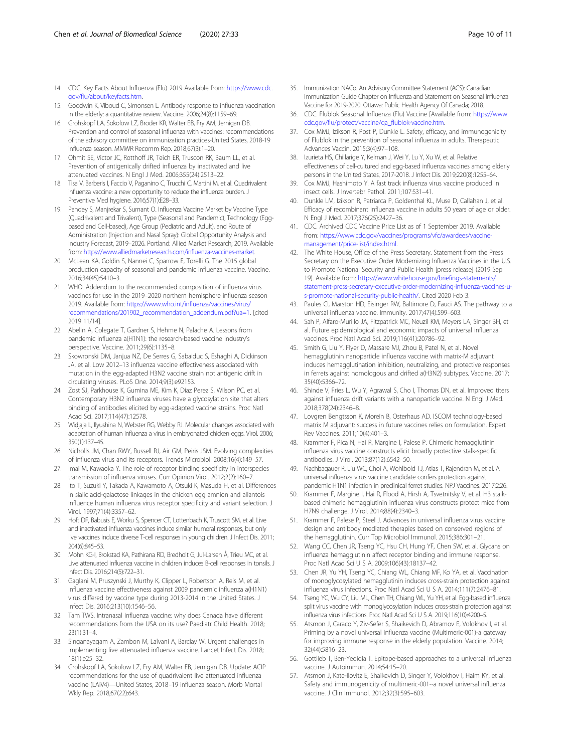- <span id="page-9-0"></span>14. CDC. Key Facts About Influenza (Flu) 2019 Available from: https://www.cdc. gov/flu/about/keyfacts.htm.
- 15. Goodwin K, Viboud C, Simonsen L. Antibody response to influenza vaccination in the elderly: a quantitative review. Vaccine. 2006;24(8):1159–69.
- 16. Grohskopf LA, Sokolow LZ, Broder KR, Walter EB, Fry AM, Jernigan DB. Prevention and control of seasonal influenza with vaccines: recommendations of the advisory committee on immunization practices-United States, 2018-19 influenza season. MMWR Recomm Rep. 2018;67(3):1–20.
- 17. Ohmit SE, Victor JC, Rotthoff JR, Teich ER, Truscon RK, Baum LL, et al. Prevention of antigenically drifted influenza by inactivated and live attenuated vaccines. N Engl J Med. 2006;355(24):2513–22.
- 18. Tisa V, Barberis I, Faccio V, Paganino C, Trucchi C, Martini M, et al. Quadrivalent influenza vaccine: a new opportunity to reduce the influenza burden. J Preventive Med hygiene. 2016;57(1):E28–33.
- 19. Pandey S, Manjrekar S, Sumant O. Influenza Vaccine Market by Vaccine Type (Quadrivalent and Trivalent), Type (Seasonal and Pandemic), Technology (Eggbased and Cell-based), Age Group (Pediatric and Adult), and Route of Administration (Injection and Nasal Spray): Global Opportunity Analysis and Industry Forecast, 2019–2026. Portland: Allied Market Research; 2019. Available from: https://www.alliedmarketresearch.com/influenza-vaccines-market.
- 20. McLean KA, Goldin S, Nannei C, Sparrow E, Torelli G. The 2015 global production capacity of seasonal and pandemic influenza vaccine. Vaccine. 2016;34(45):5410–3.
- 21. WHO. Addendum to the recommended composition of influenza virus vaccines for use in the 2019–2020 northern hemisphere influenza season 2019. Available from: https://www.who.int/influenza/vaccines/virus/ recommendations/201902\_recommendation\_addendum.pdf?ua=1. [cited 2019 11/14].
- 22. Abelin A, Colegate T, Gardner S, Hehme N, Palache A. Lessons from pandemic influenza a(H1N1): the research-based vaccine industry's perspective. Vaccine. 2011;29(6):1135–8.
- 23. Skowronski DM, Janjua NZ, De Serres G, Sabaiduc S, Eshaghi A, Dickinson JA, et al. Low 2012–13 influenza vaccine effectiveness associated with mutation in the egg-adapted H3N2 vaccine strain not antigenic drift in circulating viruses. PLoS One. 2014;9(3):e92153.
- 24. Zost SJ, Parkhouse K, Gumina ME, Kim K, Diaz Perez S, Wilson PC, et al. Contemporary H3N2 influenza viruses have a glycosylation site that alters binding of antibodies elicited by egg-adapted vaccine strains. Proc Natl Acad Sci. 2017;114(47):12578.
- 25. Widjaja L, Ilyushina N, Webster RG, Webby RJ. Molecular changes associated with adaptation of human influenza a virus in embryonated chicken eggs. Virol. 2006; 350(1):137–45.
- 26. Nicholls JM, Chan RWY, Russell RJ, Air GM, Peiris JSM. Evolving complexities of influenza virus and its receptors. Trends Microbiol. 2008;16(4):149–57.
- 27. Imai M, Kawaoka Y. The role of receptor binding specificity in interspecies transmission of influenza viruses. Curr Opinion Virol. 2012;2(2):160–7.
- Ito T, Suzuki Y, Takada A, Kawamoto A, Otsuki K, Masuda H, et al. Differences in sialic acid-galactose linkages in the chicken egg amnion and allantois influence human influenza virus receptor specificity and variant selection. J Virol. 1997;71(4):3357–62.
- 29. Hoft DF, Babusis E, Worku S, Spencer CT, Lottenbach K, Truscott SM, et al. Live and inactivated influenza vaccines induce similar humoral responses, but only live vaccines induce diverse T-cell responses in young children. J Infect Dis. 2011; 204(6):845–53.
- 30. Mohn KG-I, Brokstad KA, Pathirana RD, Bredholt G, Jul-Larsen Å, Trieu MC, et al. Live attenuated influenza vaccine in children induces B-cell responses in tonsils. J Infect Dis. 2016;214(5):722–31.
- 31. Gaglani M, Pruszynski J, Murthy K, Clipper L, Robertson A, Reis M, et al. Influenza vaccine effectiveness against 2009 pandemic influenza a(H1N1) virus differed by vaccine type during 2013-2014 in the United States. J Infect Dis. 2016;213(10):1546–56.
- 32. Tam TWS. Intranasal influenza vaccine: why does Canada have different recommendations from the USA on its use? Paediatr Child Health. 2018; 23(1):31–4.
- 33. Singanayagam A, Zambon M, Lalvani A, Barclay W. Urgent challenges in implementing live attenuated influenza vaccine. Lancet Infect Dis. 2018; 18(1):e25–32.
- 34. Grohskopf LA, Sokolow LZ, Fry AM, Walter EB, Jernigan DB. Update: ACIP recommendations for the use of quadrivalent live attenuated influenza vaccine (LAIV4)—United States, 2018–19 influenza season. Morb Mortal Wkly Rep. 2018;67(22):643.
- 35. Immunization NACo. An Advisory Committee Statement (ACS): Canadian Immunization Guide Chapter on Influenza and Statement on Seasonal Influenza Vaccine for 2019-2020. Ottawa: Public Health Agency Of Canada; 2018.
- 36. CDC. Flublok Seasonal Influenza (Flu) Vaccine [Available from: https://www. cdc.gov/flu/protect/vaccine/qa\_flublok-vaccine.htm.
- 37. Cox MMJ, Izikson R, Post P, Dunkle L. Safety, efficacy, and immunogenicity of Flublok in the prevention of seasonal influenza in adults. Therapeutic Advances Vaccin. 2015;3(4):97–108.
- 38. Izurieta HS, Chillarige Y, Kelman J, Wei Y, Lu Y, Xu W, et al. Relative effectiveness of cell-cultured and egg-based influenza vaccines among elderly persons in the United States, 2017-2018. J Infect Dis. 2019;220(8):1255–64.
- 39. Cox MMJ, Hashimoto Y. A fast track influenza virus vaccine produced in insect cells. J Invertebr Pathol. 2011;107:S31–41.
- 40. Dunkle LM, Izikson R, Patriarca P, Goldenthal KL, Muse D, Callahan J, et al. Efficacy of recombinant influenza vaccine in adults 50 years of age or older. N Engl J Med. 2017;376(25):2427–36.
- 41. CDC. Archived CDC Vaccine Price List as of 1 September 2019. Available from: https://www.cdc.gov/vaccines/programs/vfc/awardees/vaccinemanagement/price-list/index.html.
- 42. The White House, Office of the Press Secretary. Statement from the Press Secretary on the Executive Order Modernizing Influenza Vaccines in the U.S. to Promote National Security and Public Health [press release] (2019 Sep 19). Available from: https://www.whitehouse.gov/briefings-statements/ statement-press-secretary-executive-order-modernizing-influenza-vaccines-us-promote-national-security-public-health/. Cited 2020 Feb 3.
- 43. Paules CI, Marston HD, Eisinger RW, Baltimore D, Fauci AS. The pathway to a universal influenza vaccine. Immunity. 2017;47(4):599–603.
- 44. Sah P, Alfaro-Murillo JA, Fitzpatrick MC, Neuzil KM, Meyers LA, Singer BH, et al. Future epidemiological and economic impacts of universal influenza vaccines. Proc Natl Acad Sci. 2019;116(41):20786–92.
- 45. Smith G, Liu Y, Flyer D, Massare MJ, Zhou B, Patel N, et al. Novel hemagglutinin nanoparticle influenza vaccine with matrix-M adjuvant induces hemagglutination inhibition, neutralizing, and protective responses in ferrets against homologous and drifted a(H3N2) subtypes. Vaccine. 2017; 35(40):5366–72.
- 46. Shinde V, Fries L, Wu Y, Agrawal S, Cho I, Thomas DN, et al. Improved titers against influenza drift variants with a nanoparticle vaccine. N Engl J Med. 2018;378(24):2346–8.
- 47. Lovgren Bengtsson K, Morein B, Osterhaus AD. ISCOM technology-based matrix M adjuvant: success in future vaccines relies on formulation. Expert Rev Vaccines. 2011;10(4):401–3.
- 48. Krammer F, Pica N, Hai R, Margine I, Palese P. Chimeric hemagglutinin influenza virus vaccine constructs elicit broadly protective stalk-specific antibodies. J Virol. 2013;87(12):6542–50.
- 49. Nachbagauer R, Liu WC, Choi A, Wohlbold TJ, Atlas T, Rajendran M, et al. A universal influenza virus vaccine candidate confers protection against pandemic H1N1 infection in preclinical ferret studies. NPJ Vaccines. 2017;2:26.
- 50. Krammer F, Margine I, Hai R, Flood A, Hirsh A, Tsvetnitsky V, et al. H3 stalkbased chimeric hemagglutinin influenza virus constructs protect mice from H7N9 challenge. J Virol. 2014;88(4):2340–3.
- 51. Krammer F, Palese P, Steel J. Advances in universal influenza virus vaccine design and antibody mediated therapies based on conserved regions of the hemagglutinin. Curr Top Microbiol Immunol. 2015;386:301–21.
- 52. Wang CC, Chen JR, Tseng YC, Hsu CH, Hung YF, Chen SW, et al. Glycans on influenza hemagglutinin affect receptor binding and immune response. Proc Natl Acad Sci U S A. 2009;106(43):18137–42.
- 53. Chen JR, Yu YH, Tseng YC, Chiang WL, Chiang MF, Ko YA, et al. Vaccination of monoglycosylated hemagglutinin induces cross-strain protection against influenza virus infections. Proc Natl Acad Sci U S A. 2014;111(7):2476–81.
- 54. Tseng YC, Wu CY, Liu ML, Chen TH, Chiang WL, Yu YH, et al. Egg-based influenza split virus vaccine with monoglycosylation induces cross-strain protection against influenza virus infections. Proc Natl Acad Sci U S A. 2019;116(10):4200–5.
- 55. Atsmon J, Caraco Y, Ziv-Sefer S, Shaikevich D, Abramov E, Volokhov I, et al. Priming by a novel universal influenza vaccine (Multimeric-001)-a gateway for improving immune response in the elderly population. Vaccine. 2014; 32(44):5816–23.
- 56. Gottlieb T, Ben-Yedidia T. Epitope-based approaches to a universal influenza vaccine. J Autoimmun. 2014;54:15–20.
- 57. Atsmon J, Kate-Ilovitz E, Shaikevich D, Singer Y, Volokhov I, Haim KY, et al. Safety and immunogenicity of multimeric-001--a novel universal influenza vaccine. J Clin Immunol. 2012;32(3):595–603.